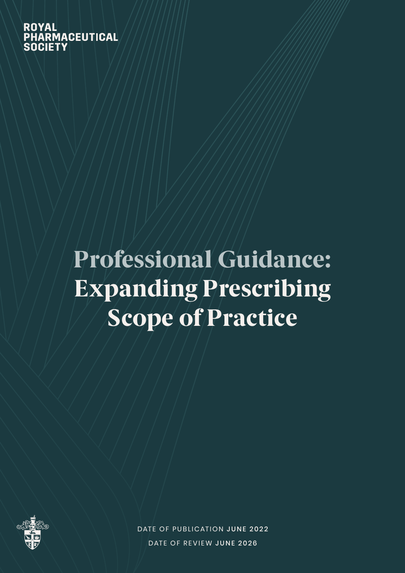**ROYAL PHARMACEUTICAL** SOCIETY

# Professional Guidance: Expanding Prescribing Scope of Practice



DATE OF PUBLICATION JUNE 2022 DATE OF REVIEW JUNE 2026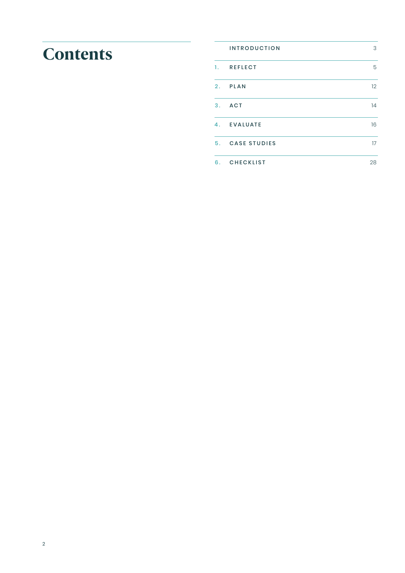# **Contents**

|    | <b>INTRODUCTION</b> | 3  |
|----|---------------------|----|
|    | 1. REFLECT          | 5  |
| 2. | PLAN                | 12 |
| 3. | ACT                 | 14 |
| 4. | EVALUATE            | 16 |
| 5. | <b>CASE STUDIES</b> | 17 |
| 6. | <b>CHECKLIST</b>    | 28 |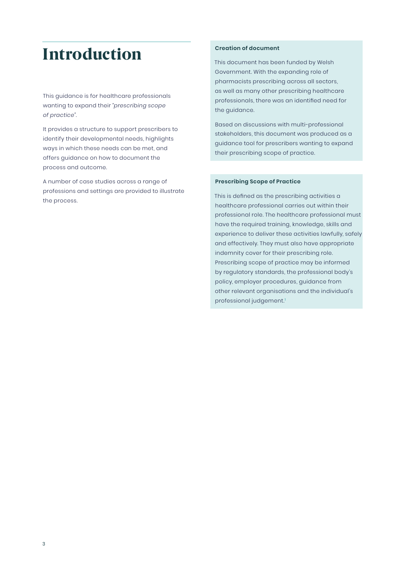## <span id="page-2-0"></span>Introduction

This guidance is for healthcare professionals wanting to expand their *"prescribing scope of practice".* 

It provides a structure to support prescribers to identify their developmental needs, highlights ways in which these needs can be met, and offers guidance on how to document the process and outcome.

A number of case studies across a range of professions and settings are provided to illustrate the process.

#### **Creation of document**

This document has been funded by Welsh Government. With the expanding role of pharmacists prescribing across all sectors, as well as many other prescribing healthcare professionals, there was an identified need for the guidance.

Based on discussions with multi-professional stakeholders, this document was produced as a guidance tool for prescribers wanting to expand their prescribing scope of practice.

#### **Prescribing Scope of Practice**

This is defined as the prescribing activities a healthcare professional carries out within their professional role. The healthcare professional must have the required training, knowledge, skills and experience to deliver these activities lawfully, safely and effectively. They must also have appropriate indemnity cover for their prescribing role. Prescribing scope of practice may be informed by regulatory standards, the professional body's policy, employer procedures, guidance from other relevant organisations and the individual's professional judgement.<sup>1</sup>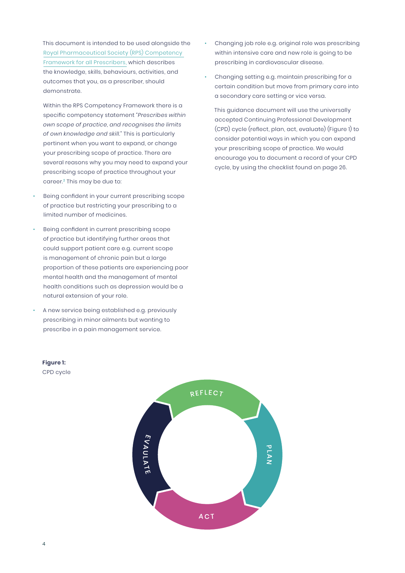This document is intended to be used alongside the [Royal Pharmaceutical Society \(RPS\) Competency](https://www.rpharms.com/resources/frameworks/prescribing-competency-framework/competency-framework)  [Framework for all Prescribers,](https://www.rpharms.com/resources/frameworks/prescribing-competency-framework/competency-framework) which describes the knowledge, skills, behaviours, activities, and outcomes that you, as a prescriber, should demonstrate.

Within the RPS Competency Framework there is a specific competency statement *"Prescribes within own scope of practice, and recognises the limits of own knowledge and skill.*" This is particularly pertinent when you want to expand, or change your prescribing scope of practice. There are several reasons why you may need to expand your prescribing scope of practice throughout your career.<sup>2</sup> This may be due to:

- Being confident in your current prescribing scope of practice but restricting your prescribing to a limited number of medicines.
- Being confident in current prescribing scope of practice but identifying further areas that could support patient care e.g. current scope is management of chronic pain but a large proportion of these patients are experiencing poor mental health and the management of mental health conditions such as depression would be a natural extension of your role.
- A new service being established e.g. previously prescribing in minor ailments but wanting to prescribe in a pain management service.
- Changing job role e.g. original role was prescribing within intensive care and new role is going to be prescribing in cardiovascular disease.
- Changing setting e.g. maintain prescribing for a certain condition but move from primary care into a secondary care setting or vice versa.

This guidance document will use the universally accepted Continuing Professional Development (CPD) cycle (reflect, plan, act, evaluate) (Figure 1) to consider potential ways in which you can expand your prescribing scope of practice. We would encourage you to document a record of your CPD cycle, by using the checklist found on page 26.



CPD cycle

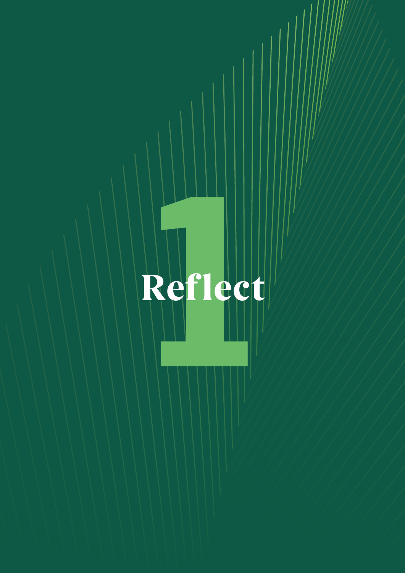# <span id="page-4-0"></span>**1** Reflect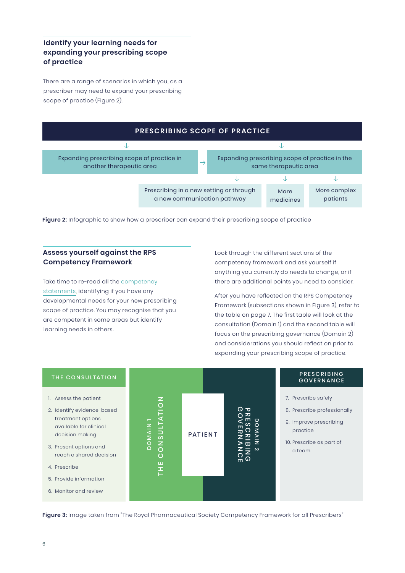#### **Identify your learning needs for expanding your prescribing scope of practice**

There are a range of scenarios in which you, as a prescriber may need to expand your prescribing scope of practice (Figure 2).



Figure 2: Infographic to show how a prescriber can expand their prescribing scope of practice

#### **Assess yourself against the RPS Competency Framework**

Take time to re-read all the [competency](https://www.rpharms.com/resources/frameworks/prescribing-competency-framework/competency-framework) [statements,](https://www.rpharms.com/resources/frameworks/prescribing-competency-framework/competency-framework) identifying if you have any developmental needs for your new prescribing scope of practice. You may recognise that you are competent in some areas but identify learning needs in others.

Look through the different sections of the competency framework and ask yourself if anything you currently do needs to change, or if there are additional points you need to consider.

After you have reflected on the RPS Competency Framework (subsections shown in Figure 3), refer to the table on page 7. The first table will look at the consultation (Domain 1) and the second table will focus on the prescribing governance (Domain 2) and considerations you should reflect on prior to expanding your prescribing scope of practice.



**Figure 3:** Image taken from "The Royal Pharmaceutical Society Competency Framework for all Prescribers"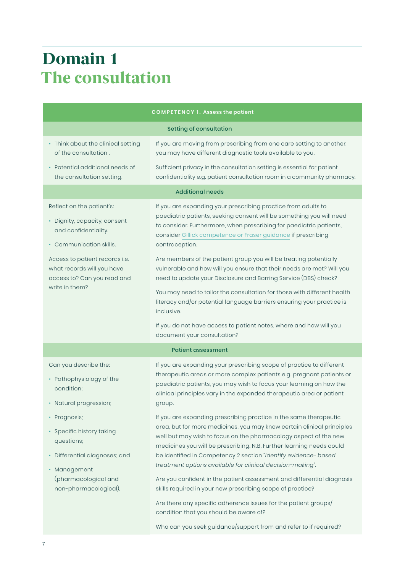# Domain 1 The consultation

| <b>COMPETENCY 1. Assess the patient</b>                                                                                                                                                                                       |                                                                                                                                                                                                                                                                                                                                                                                                                                                                                                                                                                                                                                                                                                                                                   |  |  |  |  |
|-------------------------------------------------------------------------------------------------------------------------------------------------------------------------------------------------------------------------------|---------------------------------------------------------------------------------------------------------------------------------------------------------------------------------------------------------------------------------------------------------------------------------------------------------------------------------------------------------------------------------------------------------------------------------------------------------------------------------------------------------------------------------------------------------------------------------------------------------------------------------------------------------------------------------------------------------------------------------------------------|--|--|--|--|
| <b>Setting of consultation</b>                                                                                                                                                                                                |                                                                                                                                                                                                                                                                                                                                                                                                                                                                                                                                                                                                                                                                                                                                                   |  |  |  |  |
| • Think about the clinical setting<br>of the consultation.                                                                                                                                                                    | If you are moving from prescribing from one care setting to another,<br>you may have different diagnostic tools available to you.                                                                                                                                                                                                                                                                                                                                                                                                                                                                                                                                                                                                                 |  |  |  |  |
| • Potential additional needs of<br>the consultation setting.                                                                                                                                                                  | Sufficient privacy in the consultation setting is essential for patient<br>confidentiality e.g. patient consultation room in a community pharmacy.                                                                                                                                                                                                                                                                                                                                                                                                                                                                                                                                                                                                |  |  |  |  |
| <b>Additional needs</b>                                                                                                                                                                                                       |                                                                                                                                                                                                                                                                                                                                                                                                                                                                                                                                                                                                                                                                                                                                                   |  |  |  |  |
| Reflect on the patient's:<br>· Dignity, capacity, consent<br>and confidentiality.<br>• Communication skills.<br>Access to patient records i.e.<br>what records will you have<br>access to? Can you read and<br>write in them? | If you are expanding your prescribing practice from adults to<br>paediatric patients, seeking consent will be something you will need<br>to consider. Furthermore, when prescribing for paediatric patients,<br>consider Gillick competence or Fraser guidance if prescribing<br>contraception.<br>Are members of the patient group you will be treating potentially<br>vulnerable and how will you ensure that their needs are met? Will you<br>need to update your Disclosure and Barring Service (DBS) check?<br>You may need to tailor the consultation for those with different health<br>literacy and/or potential language barriers ensuring your practice is<br>inclusive.                                                                |  |  |  |  |
|                                                                                                                                                                                                                               | If you do not have access to patient notes, where and how will you<br>document your consultation?                                                                                                                                                                                                                                                                                                                                                                                                                                                                                                                                                                                                                                                 |  |  |  |  |
|                                                                                                                                                                                                                               | <b>Patient assessment</b>                                                                                                                                                                                                                                                                                                                                                                                                                                                                                                                                                                                                                                                                                                                         |  |  |  |  |
| Can you describe the:<br>• Pathophysiology of the<br>condition:<br>· Natural progression;                                                                                                                                     | If you are expanding your prescribing scope of practice to different<br>therapeutic areas or more complex patients e.g. pregnant patients or<br>paediatric patients, you may wish to focus your learning on how the<br>clinical principles vary in the expanded therapeutic area or patient<br>group.                                                                                                                                                                                                                                                                                                                                                                                                                                             |  |  |  |  |
| • Prognosis;<br>• Specific history taking<br>questions;<br>· Differential diagnoses; and<br>· Management<br>(pharmacological and<br>non-pharmacological).                                                                     | If you are expanding prescribing practice in the same therapeutic<br>area, but for more medicines, you may know certain clinical principles<br>well but may wish to focus on the pharmacology aspect of the new<br>medicines you will be prescribing. N.B. Further learning needs could<br>be identified in Competency 2 section "Identify evidence- based<br>treatment options available for clinical decision-making".<br>Are you confident in the patient assessment and differential diagnosis<br>skills required in your new prescribing scope of practice?<br>Are there any specific adherence issues for the patient groups/<br>condition that you should be aware of?<br>Who can you seek guidance/support from and refer to if required? |  |  |  |  |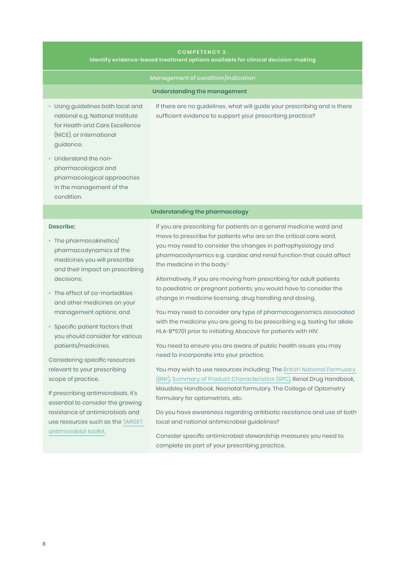#### **COMPETENCY 2. Identify evidence-based treatment options available for clinical decision-making**

| Management of condition/indication                                                                                                                                                                                                                                                                                                                                          |                                                                                                                                                                                                                                                                                                                                                                                                                                                                                                                                                                                                                                                                                                                                                                                                                                                       |  |  |  |
|-----------------------------------------------------------------------------------------------------------------------------------------------------------------------------------------------------------------------------------------------------------------------------------------------------------------------------------------------------------------------------|-------------------------------------------------------------------------------------------------------------------------------------------------------------------------------------------------------------------------------------------------------------------------------------------------------------------------------------------------------------------------------------------------------------------------------------------------------------------------------------------------------------------------------------------------------------------------------------------------------------------------------------------------------------------------------------------------------------------------------------------------------------------------------------------------------------------------------------------------------|--|--|--|
| Understanding the management                                                                                                                                                                                                                                                                                                                                                |                                                                                                                                                                                                                                                                                                                                                                                                                                                                                                                                                                                                                                                                                                                                                                                                                                                       |  |  |  |
| • Using guidelines both local and<br>national e.g. National Institute<br>for Health and Care Excellence<br>(NICE), or international<br>guidance.<br>• Understand the non-<br>pharmacological and<br>pharmacological approaches<br>in the management of the<br>condition.                                                                                                    | If there are no guidelines, what will guide your prescribing and is there<br>sufficient evidence to support your prescribing practice?                                                                                                                                                                                                                                                                                                                                                                                                                                                                                                                                                                                                                                                                                                                |  |  |  |
| Understanding the pharmacology                                                                                                                                                                                                                                                                                                                                              |                                                                                                                                                                                                                                                                                                                                                                                                                                                                                                                                                                                                                                                                                                                                                                                                                                                       |  |  |  |
| Describe;<br>• The pharmacokinetics/<br>pharmacodynamics of the<br>medicines you will prescribe<br>and their impact on prescribing<br>decisions:<br>• The effect of co-morbidities<br>and other medicines on your<br>management options; and<br>• Specific patient factors that<br>you should consider for various<br>patients/medicines.<br>Considering specific resources | If you are prescribing for patients on a general medicine ward and<br>move to prescribe for patients who are on the critical care ward,<br>you may need to consider the changes in pathophysiology and<br>pharmacodynamics e.g. cardiac and renal function that could affect<br>the medicine in the body.3<br>Alternatively, if you are moving from prescribing for adult patients<br>to paediatric or pregnant patients, you would have to consider the<br>change in medicine licensing, drug handling and dosing.<br>You may need to consider any type of pharmacogenomics associated<br>with the medicine you are going to be prescribing e.g. testing for allele<br>HLA-B*5701 prior to initiating Abacavir for patients with HIV.<br>You need to ensure you are aware of public health issues you may<br>need to incorporate into your practice. |  |  |  |
| relevant to your prescribing<br>scope of practice.<br>If prescribing antimicrobials, it's<br>essential to consider the growing                                                                                                                                                                                                                                              | You may wish to use resources including; The British National Formulary<br>(BNF), Summary of Product Characteristics (SPC), Renal Drug Handbook,<br>Maudsley Handbook, Neonatal formulary, The College of Optometry<br>formulary for optometrists, etc.                                                                                                                                                                                                                                                                                                                                                                                                                                                                                                                                                                                               |  |  |  |
| resistance of antimicrobials and<br>use resources such as the TARGET<br>antimicrobial toolkit.                                                                                                                                                                                                                                                                              | Do you have awareness regarding antibiotic resistance and use of both<br>local and national antimicrobial guidelines?<br>Consider specific antimicrobial stewardship measures you need to                                                                                                                                                                                                                                                                                                                                                                                                                                                                                                                                                                                                                                                             |  |  |  |

complete as part of your prescribing practice.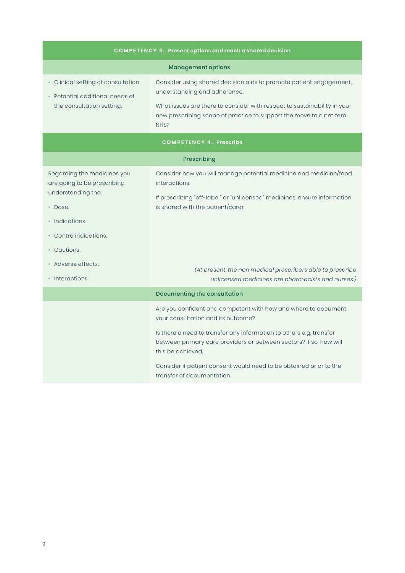| <b>COMPETENCY 3. Present options and reach a shared decision</b>                                                                                                                               |                                                                                                                                                                                                                                                                                                                                                                            |  |  |  |
|------------------------------------------------------------------------------------------------------------------------------------------------------------------------------------------------|----------------------------------------------------------------------------------------------------------------------------------------------------------------------------------------------------------------------------------------------------------------------------------------------------------------------------------------------------------------------------|--|--|--|
| <b>Management options</b>                                                                                                                                                                      |                                                                                                                                                                                                                                                                                                                                                                            |  |  |  |
| • Clinical setting of consultation.<br>• Potential additional needs of<br>the consultation setting.                                                                                            | Consider using shared decision aids to promote patient engagement,<br>understanding and adherence.<br>What issues are there to consider with respect to sustainability in your<br>new prescribing scope of practice to support the move to a net zero<br>NHS?                                                                                                              |  |  |  |
| <b>COMPETENCY 4. Prescribe</b>                                                                                                                                                                 |                                                                                                                                                                                                                                                                                                                                                                            |  |  |  |
| Prescribing                                                                                                                                                                                    |                                                                                                                                                                                                                                                                                                                                                                            |  |  |  |
| Regarding the medicines you<br>are going to be prescribing<br>understanding the:<br>• Dose.<br>· Indications.<br>• Contra indications.<br>• Cautions.<br>• Adverse effects.<br>• Interactions. | Consider how you will manage potential medicine and medicine/food<br>interactions.<br>If prescribing "off-label" or "unlicensed" medicines, ensure information<br>is shared with the patient/carer.<br>(At present, the non medical prescribers able to prescribe<br>unlicensed medicines are pharmacists and nurses.)                                                     |  |  |  |
|                                                                                                                                                                                                | Documenting the consultation                                                                                                                                                                                                                                                                                                                                               |  |  |  |
|                                                                                                                                                                                                | Are you confident and competent with how and where to document<br>your consultation and its outcome?<br>Is there a need to transfer any information to others e.g. transfer<br>between primary care providers or between sectors? If so, how will<br>this be achieved.<br>Consider if patient consent would need to be obtained prior to the<br>transfer of documentation. |  |  |  |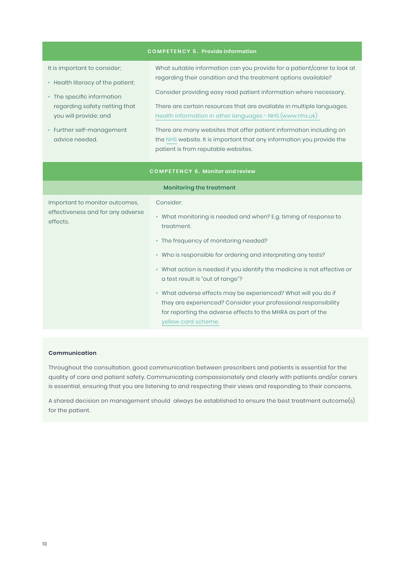| <b>COMPETENCY 5. Provide information</b>                                                                                                                                                                 |                                                                                                                                                                                                                                                                                                                                                                                                                                                                                                                                                   |  |  |  |
|----------------------------------------------------------------------------------------------------------------------------------------------------------------------------------------------------------|---------------------------------------------------------------------------------------------------------------------------------------------------------------------------------------------------------------------------------------------------------------------------------------------------------------------------------------------------------------------------------------------------------------------------------------------------------------------------------------------------------------------------------------------------|--|--|--|
| It is important to consider;<br>• Health literacy of the patient;<br>• The specific information<br>regarding safety netting that<br>you will provide; and<br>• Further self-management<br>advice needed. | What suitable information can you provide for a patient/carer to look at<br>regarding their condition and the treatment options available?<br>Consider providing easy read patient information where necessary.<br>There are certain resources that are available in multiple languages.<br>Health information in other languages - NHS (www.nhs.uk)<br>There are many websites that offer patient information including on<br>the NHS website. It is important that any information you provide the<br>patient is from reputable websites.       |  |  |  |
| <b>COMPETENCY 6. Monitor and review</b>                                                                                                                                                                  |                                                                                                                                                                                                                                                                                                                                                                                                                                                                                                                                                   |  |  |  |
|                                                                                                                                                                                                          | Monitoring the treatment                                                                                                                                                                                                                                                                                                                                                                                                                                                                                                                          |  |  |  |
| Important to monitor outcomes,<br>effectiveness and for any adverse<br>effects.                                                                                                                          | Consider:<br>• What monitoring is needed and when? E.g. timing of response to<br>treatment.<br>• The frequency of monitoring needed?<br>• Who is responsible for ordering and interpreting any tests?<br>• What action is needed if you identify the medicine is not effective or<br>a test result is "out of range"?<br>• What adverse effects may be experienced? What will you do if<br>they are experienced? Consider your professional responsibility<br>for reporting the adverse effects to the MHRA as part of the<br>yellow card scheme. |  |  |  |

#### **Communication**

Throughout the consultation, good communication between prescribers and patients is essential for the quality of care and patient safety. Communicating compassionately and clearly with patients and/or carers is essential, ensuring that you are listening to and respecting their views and responding to their concerns.

A shared decision on management should always be established to ensure the best treatment outcome(s) for the patient.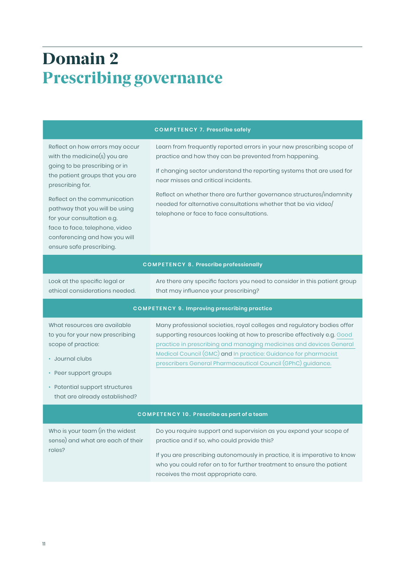# Domain 2 Prescribing governance

#### **COMPETENCY 7. Prescribe safely**

Reflect on how errors may occur with the medicine(s) you are going to be prescribing or in the patient groups that you are prescribing for.

Reflect on the communication pathway that you will be using for your consultation e.g. face to face, telephone, video conferencing and how you will ensure safe prescribing.

Learn from frequently reported errors in your new prescribing scope of practice and how they can be prevented from happening.

If changing sector understand the reporting systems that are used for near misses and critical incidents.

Reflect on whether there are further governance structures/indemnity needed for alternative consultations whether that be via video/ telephone or face to face consultations.

#### **COMPETENCY 8. Prescribe professionally**

Look at the specific legal or ethical considerations needed. Are there any specific factors you need to consider in this patient group that may influence your prescribing?

#### **COMPETENCY 9. Improving prescribing practice**

What resources are available to you for your new prescribing scope of practice:

- Journal clubs
- Peer support groups
- Potential support structures that are already established?

Many professional societies, royal colleges and regulatory bodies offer supporting resources looking at how to prescribe effectively e.g. [Good](https://www.gmc-uk.org/ethical-guidance/ethical-guidance-for-doctors/good-practice-in-prescribing-and-managing-medicines-and-devices)  [practice in prescribing and managing medicines and devices General](https://www.gmc-uk.org/ethical-guidance/ethical-guidance-for-doctors/good-practice-in-prescribing-and-managing-medicines-and-devices)  [Medical Council \(GMC\)](https://www.gmc-uk.org/ethical-guidance/ethical-guidance-for-doctors/good-practice-in-prescribing-and-managing-medicines-and-devices) and [In practice: Guidance for pharmacist](https://www.pharmacyregulation.org/sites/default/files/document/in-practice-guidance-for-pharmacist-prescribers-february-2020.pdf)  [prescribers General Pharmaceutical Council \(GPhC\) guidance.](https://www.pharmacyregulation.org/sites/default/files/document/in-practice-guidance-for-pharmacist-prescribers-february-2020.pdf)

#### **COMPETENCY 10. P rescribe as part of a team**

| Who is your team (in the widest   | Do you require support and supervision as you expand your scope of                                                                                                                        |  |  |
|-----------------------------------|-------------------------------------------------------------------------------------------------------------------------------------------------------------------------------------------|--|--|
| sense) and what are each of their | practice and if so, who could provide this?                                                                                                                                               |  |  |
| roles?                            | If you are prescribing autonomously in practice, it is imperative to know<br>who you could refer on to for further treatment to ensure the patient<br>receives the most appropriate care. |  |  |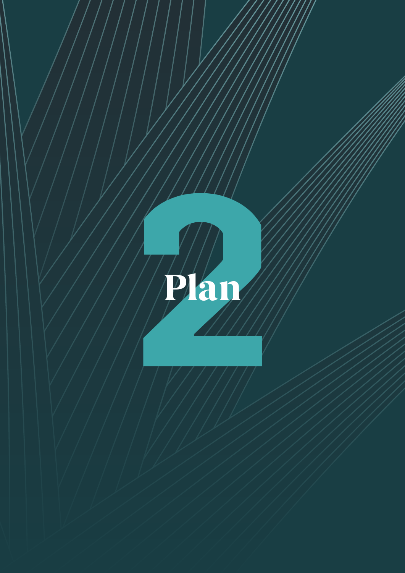<span id="page-11-0"></span>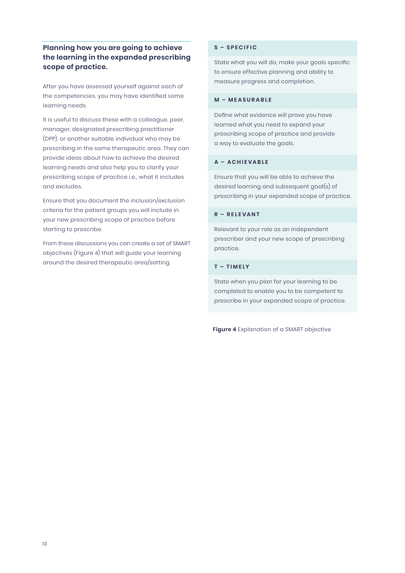#### **Planning how you are going to achieve the learning in the expanded prescribing scope of practice.**

After you have assessed yourself against each of the competencies, you may have identified some learning needs.

It is useful to discuss these with a colleague, peer, manager, designated prescribing practitioner (DPP), or another suitable individual who may be prescribing in the same therapeutic area. They can provide ideas about how to achieve the desired learning needs and also help you to clarify your prescribing scope of practice i.e., what it includes and excludes.

Ensure that you document the inclusion/exclusion criteria for the patient groups you will include in your new prescribing scope of practice before starting to prescribe.

From these discussions you can create a set of SMART objectives (Figure 4) that will guide your learning around the desired therapeutic area/setting.

#### **S – SPECIFIC**

State what you will do, make your goals specific to ensure effective planning and ability to measure progress and completion.

#### **M – MEASURABLE**

Define what evidence will prove you have learned what you need to expand your prescribing scope of practice and provide a way to evaluate the goals.

#### **A – ACHIEVABLE**

Ensure that you will be able to achieve the desired learning and subsequent goal(s) of prescribing in your expanded scope of practice.

#### **R – R E L E V A N T**

Relevant to your role as an independent prescriber and your new scope of prescribing practice.

#### **T – TIMELY**

State when you plan for your learning to be completed to enable you to be competent to prescribe in your expanded scope of practice.

**Figure 4** Explanation of a SMART objective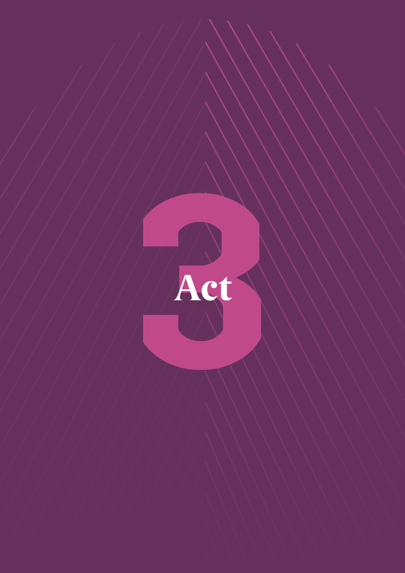<span id="page-13-0"></span>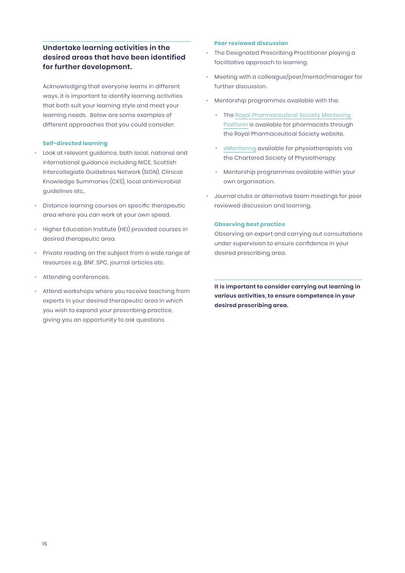#### **Undertake learning activities in the desired areas that have been identified for further development.**

Acknowledging that everyone learns in different ways, it is important to identify learning activities that both suit your learning style and meet your learning needs. Below are some examples of different approaches that you could consider:

#### **Self-directed learning**

- Look at relevant guidance, both local, national and international guidance including NICE, Scottish Intercollegiate Guidelines Network (SIGN), Clinical Knowledge Summaries (CKS), local antimicrobial guidelines etc,.
- Distance learning courses on specific therapeutic area where you can work at your own speed.
- Higher Education Institute (HEI) provided courses in desired therapeutic area.
- Private reading on the subject from a wide range of resources e.g. BNF, SPC, journal articles etc.
- Attending conferences.
- Attend workshops where you receive teaching from experts in your desired therapeutic area in which you wish to expand your prescribing practice, giving you an opportunity to ask questions.

#### **Peer reviewed discussion**

- The Designated Prescribing Practitioner playing a facilitative approach to learning.
- Meeting with a colleague/peer/mentor/manager for further discussion.
- Mentorship programmes available with the:
	- The [Royal Pharmaceutical Society Mentoring](https://www.rpharms.com/development/mentoring)  [Platform](https://www.rpharms.com/development/mentoring) is available for pharmacists through the Royal Pharmaceutical Society website.
	- [eMentoring](https://www.csp.org.uk/taxonomy/term/32535) available for physiotherapists via the Chartered Society of Physiotherapy.
	- Mentorship programmes available within your own organisation.
- Journal clubs or alternative team meetings for peer reviewed discussion and learning.

#### **Observing best practice**

Observing an expert and carrying out consultations under supervision to ensure confidence in your desired prescribing area.

**It is important to consider carrying out learning in various activities, to ensure competence in your desired prescribing area.**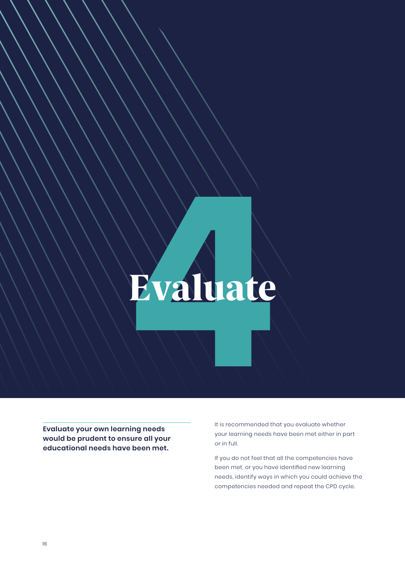# <span id="page-15-0"></span>Evaluate

**Evaluate your own learning needs would be prudent to ensure all your educational needs have been met.**

It is recommended that you evaluate whether your learning needs have been met either in part or in full.

If you do not feel that all the competencies have been met, or you have identified new learning needs, identify ways in which you could achieve the competencies needed and repeat the CPD cycle.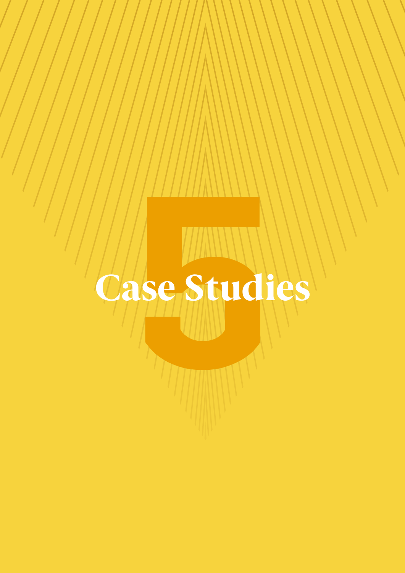# <span id="page-16-0"></span>Case Studies **5**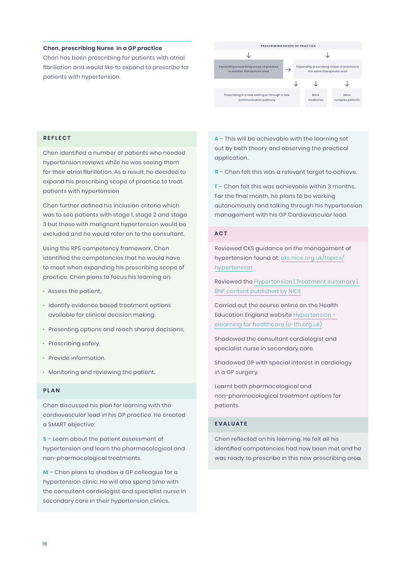#### **Chen, prescribing Nurse in a GP practice**

Chen has been prescribing for patients with atrial fibrillation and would like to expand to prescribe for patients with hypertension.



#### **REFLECT**

Chen identified a number of patients who needed hypertension reviews while he was seeing them for their atrial fibrillation. As a result, he decided to expand his prescribing scope of practice to treat patients with hypertension

Chen further defined his inclusion criteria which was to see patients with stage 1, stage 2 and stage 3 but those with malignant hypertension would be excluded and he would refer on to the consultant.

Using the RPS competency framework, Chen identified the competencies that he would have to meet when expanding his prescribing scope of practice. Chen plans to focus his learning on:

- Assess the patient,
- Identify evidence based treatment options available for clinical decision making.
- Presenting options and reach shared decisions,
- Prescribing safely,
- Provide information.
- Monitoring and reviewing the patient.

#### **P L A N**

Chen discussed his plan for learning with the cardiovascular lead in his GP practice. He created a SMART objective:

**S** – Learn about the patient assessment of hypertension and learn the pharmacological and non-pharmacological treatments.

**M** – Chen plans to shadow a GP colleague for a hypertension clinic. He will also spend time with the consultant cardiologist and specialist nurse in secondary care in their hypertension clinics.

**A** – This will be achievable with the learning set out by both theory and observing the practical application.

**R** – Chen felt this was a relevant target to achieve.

**T** – Chen felt this was achievable within 3 months. For the final month, he plans to be working autonomously and talking through his hypertension management with his GP Cardiovascular lead.

#### **ACT**

Reviewed CKS guidance on the management of hypertension found at: [cks.nice.org.uk/topics/](https://cks.nice.org.uk/topics/hypertension) [hypertension](https://cks.nice.org.uk/topics/hypertension)

Reviewed the [Hypertension | Treatment summary |](https://bnf.nice.org.uk/treatment-summary/hypertension.html)  [BNF content published by NICE](https://bnf.nice.org.uk/treatment-summary/hypertension.html)

Carried out the course online on the Health Education England website [Hypertension](https://www.e-lfh.org.uk/programmes/hypertension)  [elearning for healthcare \(e-lfh.org.uk\)](https://www.e-lfh.org.uk/programmes/hypertension)

Shadowed the consultant cardiologist and specialist nurse in secondary care.

Shadowed GP with special interest in cardiology in a GP surgery.

Learnt both pharmacological and non-pharmacological treatment options for patients.

#### **EVALUATE**

Chen reflected on his learning. He felt all his identified competencies had now been met and he was ready to prescribe in this new prescribing area.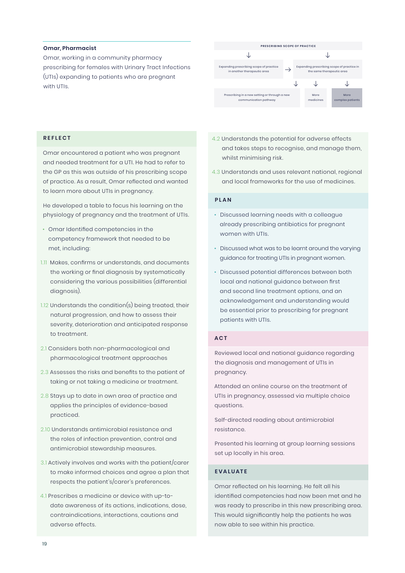#### **Omar, Pharmacist**

Omar, working in a community pharmacy prescribing for females with Urinary Tract Infections (UTIs) expanding to patients who are pregnant with UTIs.



#### **REFLECT**

Omar encountered a patient who was pregnant and needed treatment for a UTI. He had to refer to the GP as this was outside of his prescribing scope of practice. As a result, Omar reflected and wanted to learn more about UTIs in pregnancy.

He developed a table to focus his learning on the physiology of pregnancy and the treatment of UTIs.

- Omar Identified competencies in the competency framework that needed to be met, including:
- 1.11 Makes, confirms or understands, and documents the working or final diagnosis by systematically considering the various possibilities (differential diagnosis).
- 1.12 Understands the condition(s) being treated, their natural progression, and how to assess their severity, deterioration and anticipated response to treatment.
- 2.1 Considers both non-pharmacological and pharmacological treatment approaches
- 2.3 Assesses the risks and benefits to the patient of taking or not taking a medicine or treatment.
- 2.8 Stays up to date in own area of practice and applies the principles of evidence-based practiced.
- 2.10 Understands antimicrobial resistance and the roles of infection prevention, control and antimicrobial stewardship measures.
- 3.1 Actively involves and works with the patient/carer to make informed choices and agree a plan that respects the patient's/carer's preferences.
- 4.1 Prescribes a medicine or device with up-todate awareness of its actions, indications, dose, contraindications, interactions, cautions and adverse effects.
- 4.2 Understands the potential for adverse effects and takes steps to recognise, and manage them, whilst minimising risk.
- 4.3 Understands and uses relevant national, regional and local frameworks for the use of medicines.

#### **P L A N**

- Discussed learning needs with a colleague already prescribing antibiotics for pregnant women with UTIs.
- Discussed what was to be learnt around the varying guidance for treating UTIs in pregnant women.
- Discussed potential differences between both local and national guidance between first and second line treatment options, and an acknowledgement and understanding would be essential prior to prescribing for pregnant patients with UTIs.

#### **ACT**

Reviewed local and national guidance regarding the diagnosis and management of UTIs in pregnancy.

Attended an online course on the treatment of UTIs in pregnancy, assessed via multiple choice questions.

Self-directed reading about antimicrobial resistance.

Presented his learning at group learning sessions set up locally in his area.

#### **EVALUATE**

Omar reflected on his learning. He felt all his identified competencies had now been met and he was ready to prescribe in this new prescribing area. This would significantly help the patients he was now able to see within his practice.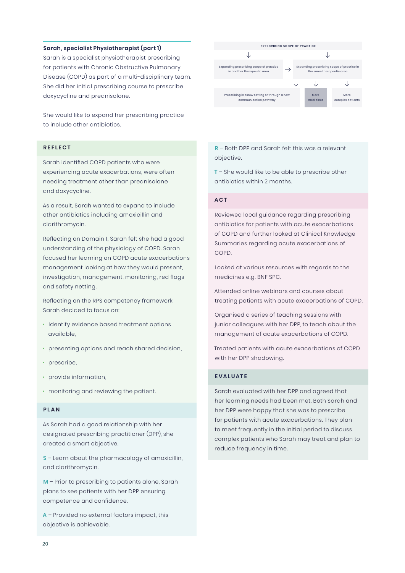#### **Sarah, specialist Physiotherapist (part 1)**

Sarah is a specialist physiotherapist prescribing for patients with Chronic Obstructive Pulmonary Disease (COPD) as part of a multi-disciplinary team. She did her initial prescribing course to prescribe doxycycline and prednisolone.

She would like to expand her prescribing practice to include other antibiotics.

#### **REFLECT**

Sarah identified COPD patients who were experiencing acute exacerbations, were often needing treatment other than prednisolone and doxycycline.

As a result, Sarah wanted to expand to include other antibiotics including amoxicillin and clarithromycin.

Reflecting on Domain 1, Sarah felt she had a good understanding of the physiology of COPD. Sarah focused her learning on COPD acute exacerbations management looking at how they would present, investigation, management, monitoring, red flags and safety netting.

Reflecting on the RPS competency framework Sarah decided to focus on:

- Identify evidence based treatment options available,
- presenting options and reach shared decision,
- prescribe,
- provide information,
- monitoring and reviewing the patient.

#### **P L A N**

As Sarah had a good relationship with her designated prescribing practitioner (DPP), she created a smart objective.

**S** – Learn about the pharmacology of amoxicillin, and clarithromycin.

**M** – Prior to prescribing to patients alone, Sarah plans to see patients with her DPP ensuring competence and confidence.

**A** – Provided no external factors impact, this objective is achievable.



**R** – Both DPP and Sarah felt this was a relevant objective.

**T** – She would like to be able to prescribe other antibiotics within 2 months.

#### **ACT**

Reviewed local guidance regarding prescribing antibiotics for patients with acute exacerbations of COPD and further looked at Clinical Knowledge Summaries regarding acute exacerbations of COPD.

Looked at various resources with regards to the medicines e.g. BNF SPC.

Attended online webinars and courses about treating patients with acute exacerbations of COPD.

Organised a series of teaching sessions with junior colleagues with her DPP, to teach about the management of acute exacerbations of COPD.

Treated patients with acute exacerbations of COPD with her DPP shadowing.

#### **EVALUATE**

Sarah evaluated with her DPP and agreed that her learning needs had been met. Both Sarah and her DPP were happy that she was to prescribe for patients with acute exacerbations. They plan to meet frequently in the initial period to discuss complex patients who Sarah may treat and plan to reduce frequency in time.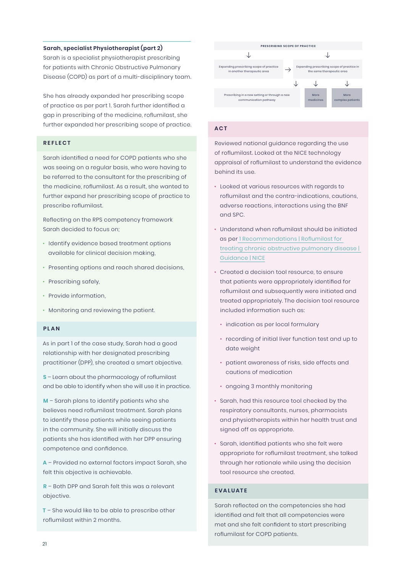#### **Sarah, specialist Physiotherapist (part 2)**

Sarah is a specialist physiotherapist prescribing for patients with Chronic Obstructive Pulmonary Disease (COPD) as part of a multi-disciplinary team.

She has already expanded her prescribing scope of practice as per part 1. Sarah further identified a gap in prescribing of the medicine, roflumilast, she further expanded her prescribing scope of practice.

#### **REFLECT**

Sarah identified a need for COPD patients who she was seeing on a regular basis, who were having to be referred to the consultant for the prescribing of the medicine, roflumilast. As a result, she wanted to further expand her prescribing scope of practice to prescribe roflumilast.

Reflecting on the RPS competency framework Sarah decided to focus on;

- Identify evidence based treatment options available for clinical decision making,
- Presenting options and reach shared decisions,
- Prescribing safely,
- Provide information,
- Monitoring and reviewing the patient.

#### **P L A N**

As in part 1 of the case study, Sarah had a good relationship with her designated prescribing practitioner (DPP), she created a smart objective.

**S** – Learn about the pharmacology of roflumilast and be able to identify when she will use it in practice.

**M** – Sarah plans to identify patients who she believes need roflumilast treatment. Sarah plans to identify these patients while seeing patients in the community. She will initially discuss the patients she has identified with her DPP ensuring competence and confidence.

**A** – Provided no external factors impact Sarah, she felt this objective is achievable.

**R** – Both DPP and Sarah felt this was a relevant objective.

**T** – She would like to be able to prescribe other roflumilast within 2 months.



#### **ACT**

Reviewed national guidance regarding the use of roflumilast. Looked at the NICE technology appraisal of roflumilast to understand the evidence behind its use.

- Looked at various resources with regards to roflumilast and the contra-indications, cautions, adverse reactions, interactions using the BNF and SPC.
- Understand when roflumilast should be initiated as per [1 Recommendations | Roflumilast for](https://www.nice.org.uk/guidance/ta461/chapter/1-Recommendations)  [treating chronic obstructive pulmonary disease |](https://www.nice.org.uk/guidance/ta461/chapter/1-Recommendations)  [Guidance | NICE](https://www.nice.org.uk/guidance/ta461/chapter/1-Recommendations)
- Created a decision tool resource, to ensure that patients were appropriately identified for roflumilast and subsequently were initiated and treated appropriately. The decision tool resource included information such as:
	- indication as per local formulary
	- recording of initial liver function test and up to date weight
	- patient awareness of risks, side effects and cautions of medication
	- ongoing 3 monthly monitoring
- Sarah, had this resource tool checked by the respiratory consultants, nurses, pharmacists and physiotherapists within her health trust and signed off as appropriate.
- Sarah, identified patients who she felt were appropriate for roflumilast treatment, she talked through her rationale while using the decision tool resource she created.

#### **EVALUATE**

Sarah reflected on the competencies she had identified and felt that all competencies were met and she felt confident to start prescribing roflumilast for COPD patients.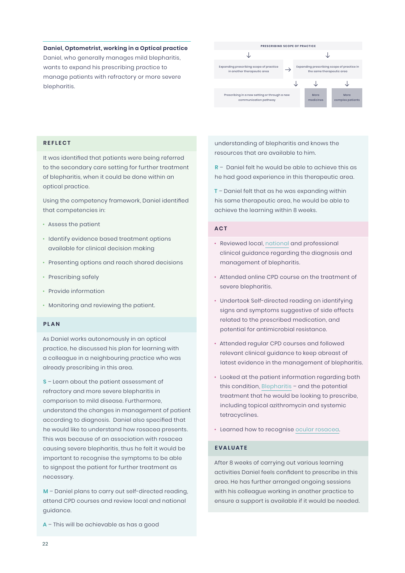#### **Daniel, Optometrist, working in a Optical practice**

Daniel, who generally manages mild blepharitis, wants to expand his prescribing practice to manage patients with refractory or more severe blepharitis.



#### **REFLECT**

It was identified that patients were being referred to the secondary care setting for further treatment of blepharitis, when it could be done within an optical practice.

Using the competency framework, Daniel identified that competencies in:

- Assess the patient
- Identify evidence based treatment options available for clinical decision making
- Presenting options and reach shared decisions
- Prescribing safely
- Provide information
- Monitoring and reviewing the patient.

#### **P L A N**

As Daniel works autonomously in an optical practice, he discussed his plan for learning with a colleague in a neighbouring practice who was already prescribing in this area.

**S** – Learn about the patient assessment of refractory and more severe blepharitis in comparison to mild disease. Furthermore, understand the changes in management of patient according to diagnosis. Daniel also specified that he would like to understand how rosacea presents. This was because of an association with rosacea causing severe blepharitis, thus he felt it would be important to recognise the symptoms to be able to signpost the patient for further treatment as necessary.

**M** – Daniel plans to carry out self-directed reading, attend CPD courses and review local and national guidance.

**A** – This will be achievable as has a good

understanding of blepharitis and knows the resources that are available to him.

**R** – Daniel felt he would be able to achieve this as he had good experience in this therapeutic area.

**T** – Daniel felt that as he was expanding within his same therapeutic area, he would be able to achieve the learning within 8 weeks.

#### **ACT**

- Reviewed local, [national](https://cks.nice.org.uk/topics/blepharitis/) and professional clinical guidance regarding the diagnosis and management of blepharitis.
- Attended online CPD course on the treatment of severe blepharitis.
- Undertook Self-directed reading on identifying signs and symptoms suggestive of side effects related to the prescribed medication, and potential for antimicrobial resistance.
- Attended regular CPD courses and followed relevant clinical guidance to keep abreast of latest evidence in the management of blepharitis.
- Looked at the patient information regarding both this condition, [Blepharitis](https://www.nhs.uk/conditions/blepharitis/) – and the potential treatment that he would be looking to prescribe, including topical azithromycin and systemic tetracyclines.
- Learned how to recognise [ocular rosacea.](https://www.college-optometrists.org/clinical-guidance/clinical-management-guidelines/ocularrosacea)

#### **EVALUATE**

After 8 weeks of carrying out various learning activities Daniel feels confident to prescribe in this area. He has further arranged ongoing sessions with his colleague working in another practice to ensure a support is available if it would be needed.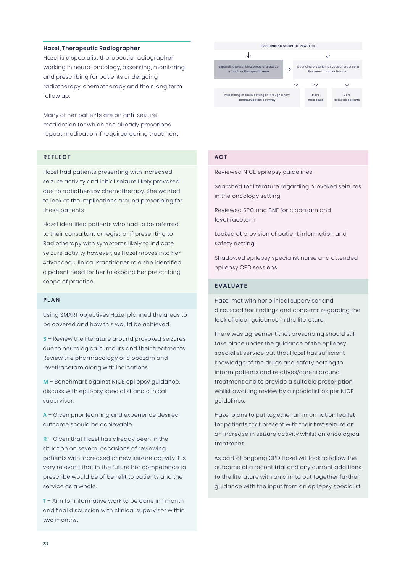#### **Hazel, Therapeutic Radiographer**

Hazel is a specialist therapeutic radiographer working in neuro-oncology, assessing, monitoring and prescribing for patients undergoing radiotherapy, chemotherapy and their long term follow up.

Many of her patients are on anti-seizure medication for which she already prescribes repeat medication if required during treatment.

#### **REFLECT**

Hazel had patients presenting with increased seizure activity and initial seizure likely provoked due to radiotherapy chemotherapy. She wanted to look at the implications around prescribing for these patients

Hazel identified patients who had to be referred to their consultant or registrar if presenting to Radiotherapy with symptoms likely to indicate seizure activity however, as Hazel moves into her Advanced Clinical Practitioner role she identified a patient need for her to expand her prescribing scope of practice.

#### **P L A N**

Using SMART objectives Hazel planned the areas to be covered and how this would be achieved.

**S** – Review the literature around provoked seizures due to neurological tumours and their treatments. Review the pharmacology of clobazam and levetiracetam along with indications.

**M** – Benchmark against NICE epilepsy guidance, discuss with epilepsy specialist and clinical supervisor.

**A** – Given prior learning and experience desired outcome should be achievable.

**R** – Given that Hazel has already been in the situation on several occasions of reviewing patients with increased or new seizure activity it is very relevant that in the future her competence to prescribe would be of benefit to patients and the service as a whole.

**T** – Aim for informative work to be done in 1 month and final discussion with clinical supervisor within two months.



#### **ACT**

Reviewed NICE epilepsy guidelines

Searched for literature regarding provoked seizures in the oncology setting

Reviewed SPC and BNF for clobazam and levetiracetam

Looked at provision of patient information and safety netting

Shadowed epilepsy specialist nurse and attended epilepsy CPD sessions

#### **EVALUATE**

Hazel met with her clinical supervisor and discussed her findings and concerns regarding the lack of clear guidance in the literature.

There was agreement that prescribing should still take place under the guidance of the epilepsy specialist service but that Hazel has sufficient knowledge of the drugs and safety netting to inform patients and relatives/carers around treatment and to provide a suitable prescription whilst awaiting review by a specialist as per NICE guidelines.

Hazel plans to put together an information leaflet for patients that present with their first seizure or an increase in seizure activity whilst on oncological treatment.

As part of ongoing CPD Hazel will look to follow the outcome of a recent trial and any current additions to the literature with an aim to put together further guidance with the input from an epilepsy specialist.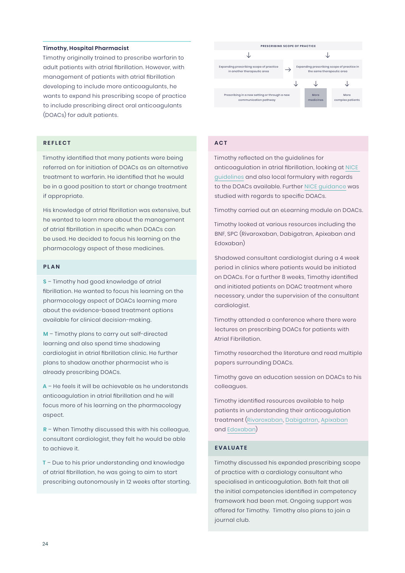#### **Timothy, Hospital Pharmacist**

Timothy originally trained to prescribe warfarin to adult patients with atrial fibrillation. However, with management of patients with atrial fibrillation developing to include more anticoagulants, he wants to expand his prescribing scope of practice to include prescribing direct oral anticoagulants (DOACs) for adult patients.

#### **REFLECT**

Timothy identified that many patients were being referred on for initiation of DOACs as an alternative treatment to warfarin. He identified that he would be in a good position to start or change treatment if appropriate.

His knowledge of atrial fibrillation was extensive, but he wanted to learn more about the management of atrial fibrillation in specific when DOACs can be used. He decided to focus his learning on the pharmacology aspect of these medicines.

#### **P L A N**

**S** – Timothy had good knowledge of atrial fibrillation. He wanted to focus his learning on the pharmacology aspect of DOACs learning more about the evidence-based treatment options available for clinical decision-making.

**M** – Timothy plans to carry out self-directed learning and also spend time shadowing cardiologist in atrial fibrillation clinic. He further plans to shadow another pharmacist who is already prescribing DOACs.

**A** – He feels it will be achievable as he understands anticoagulation in atrial fibrillation and he will focus more of his learning on the pharmacology aspect.

**R** – When Timothy discussed this with his colleague, consultant cardiologist, they felt he would be able to achieve it.

**T** – Due to his prior understanding and knowledge of atrial fibrillation, he was going to aim to start prescribing autonomously in 12 weeks after starting.



#### **ACT**

Timothy reflected on the guidelines for anticoagulation in atrial fibrillation, looking at [NICE](https://cks.nice.org.uk/topics/atrial-fibrillation/prescribing-information/anticoagulants/)  [guidelines](https://cks.nice.org.uk/topics/atrial-fibrillation/prescribing-information/anticoagulants/) and also local formulary with regards to the DOACs available. Further [NICE guidance](https://cks.nice.org.uk/topics/atrial-fibrillation/prescribing-information/anticoagulants/) was studied with regards to specific DOACs.

Timothy carried out an eLearning module on DOACs.

Timothy looked at various resources including the BNF, SPC (Rivaroxaban, Dabigatran, Apixaban and Edoxaban)

Shadowed consultant cardiologist during a 4 week period in clinics where patients would be initiated on DOACs. For a further 8 weeks, Timothy identified and initiated patients on DOAC treatment where necessary, under the supervision of the consultant cardiologist.

Timothy attended a conference where there were lectures on prescribing DOACs for patients with Atrial Fibrillation.

Timothy researched the literature and read multiple papers surrounding DOACs.

Timothy gave an education session on DOACs to his colleagues.

Timothy identified resources available to help patients in understanding their anticoagulation treatment ([Rivaroxaban](https://www.nhs.uk/medicines/rivaroxaban/), [Dabigatran](https://www.nhs.uk/medicines/dabigatran/), [Apixaban](https://www.nhs.uk/medicines/apixaban/) and [Edoxaban\)](https://www.nhs.uk/medicines/edoxaban/)

#### **EVALUATE**

Timothy discussed his expanded prescribing scope of practice with a cardiology consultant who specialised in anticoagulation. Both felt that all the initial competencies identified in competency framework had been met. Ongoing support was offered for Timothy. Timothy also plans to join a journal club.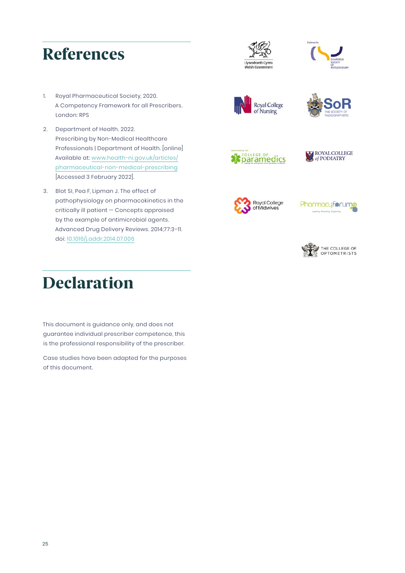### References





- 1. Royal Pharmaceutical Society, 2020. A Competency Framework for all Prescribers. London: RPS
- 2. Department of Health. 2022. Prescribing by Non-Medical Healthcare Professionals | Department of Health. [online] Available at: [www.health-ni.gov.uk/articles/](https://www.health-ni.gov.uk/articles/pharmaceutical-non-medical-prescribing) [pharmaceutical-non-medical-prescribing](https://www.health-ni.gov.uk/articles/pharmaceutical-non-medical-prescribing) [Accessed 3 February 2022].
- 3. Blot SI, Pea F, Lipman J. The effect of pathophysiology on pharmacokinetics in the critically ill patient — Concepts appraised by the example of antimicrobial agents. Advanced Drug Delivery Reviews. 2014;77:3–11. doi: [10.1016/j.addr.2014.07.006](https://www.sciencedirect.com/science/article/pii/S0169409X14001471?via%3Dihub)











**Pharmacyforun** 



# Declaration

This document is guidance only, and does not guarantee individual prescriber competence, this is the professional responsibility of the prescriber.

Case studies have been adapted for the purposes of this document.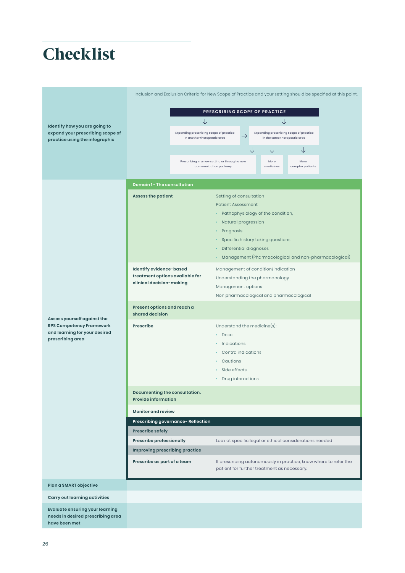# **Checklist**

|                                                                                              | Inclusion and Exclusion Criteria for New Scope of Practice and your setting should be specified at this point. |                                                                                                                                     |                                                                                                                 |                                                                         |           |                                                      |  |  |
|----------------------------------------------------------------------------------------------|----------------------------------------------------------------------------------------------------------------|-------------------------------------------------------------------------------------------------------------------------------------|-----------------------------------------------------------------------------------------------------------------|-------------------------------------------------------------------------|-----------|------------------------------------------------------|--|--|
|                                                                                              |                                                                                                                |                                                                                                                                     |                                                                                                                 |                                                                         |           |                                                      |  |  |
|                                                                                              | PRESCRIBING SCOPE OF PRACTICE<br>↓<br>↓                                                                        |                                                                                                                                     |                                                                                                                 |                                                                         |           |                                                      |  |  |
| Identify how you are going to<br>expand your prescribing scope of                            |                                                                                                                | Expanding prescribing scope of practice<br>$\rightarrow$<br>in another therapeutic area                                             |                                                                                                                 | Expanding prescribing scope of practice<br>in the same therapeutic area |           |                                                      |  |  |
| practice using the infographic                                                               |                                                                                                                |                                                                                                                                     |                                                                                                                 |                                                                         | ↓         | ↓                                                    |  |  |
|                                                                                              |                                                                                                                |                                                                                                                                     |                                                                                                                 |                                                                         | More      | More                                                 |  |  |
|                                                                                              |                                                                                                                | Prescribing in a new setting or through a new<br>communication pathway                                                              |                                                                                                                 |                                                                         | medicines | complex patients                                     |  |  |
|                                                                                              | <b>Domain 1- The consultation</b>                                                                              |                                                                                                                                     |                                                                                                                 |                                                                         |           |                                                      |  |  |
|                                                                                              | <b>Assess the patient</b><br>Setting of consultation                                                           |                                                                                                                                     |                                                                                                                 |                                                                         |           |                                                      |  |  |
|                                                                                              |                                                                                                                |                                                                                                                                     | <b>Patient Assessment</b>                                                                                       |                                                                         |           |                                                      |  |  |
|                                                                                              |                                                                                                                | Pathophysiology of the condition,<br>٠                                                                                              |                                                                                                                 |                                                                         |           |                                                      |  |  |
|                                                                                              |                                                                                                                | Natural progression                                                                                                                 |                                                                                                                 |                                                                         |           |                                                      |  |  |
|                                                                                              | Prognosis<br>٠<br>Specific history taking questions<br>٠                                                       |                                                                                                                                     |                                                                                                                 |                                                                         |           |                                                      |  |  |
|                                                                                              |                                                                                                                |                                                                                                                                     | <b>Differential diagnoses</b><br>٠                                                                              |                                                                         |           |                                                      |  |  |
|                                                                                              |                                                                                                                |                                                                                                                                     | ۰                                                                                                               |                                                                         |           | Management (Pharmacological and non-pharmacological) |  |  |
|                                                                                              | Identify evidence-based                                                                                        |                                                                                                                                     | Management of condition/indication                                                                              |                                                                         |           |                                                      |  |  |
|                                                                                              | treatment options available for<br>clinical decision-making                                                    |                                                                                                                                     | Understanding the pharmacology                                                                                  |                                                                         |           |                                                      |  |  |
|                                                                                              |                                                                                                                |                                                                                                                                     | Management options                                                                                              |                                                                         |           |                                                      |  |  |
|                                                                                              |                                                                                                                |                                                                                                                                     | Non pharmacological and pharmacological                                                                         |                                                                         |           |                                                      |  |  |
| Assess yourself against the                                                                  | Present options and reach a<br>shared decision                                                                 |                                                                                                                                     |                                                                                                                 |                                                                         |           |                                                      |  |  |
| RPS Competency Framework                                                                     | Prescribe                                                                                                      |                                                                                                                                     | Understand the medicine $(s)$ :                                                                                 |                                                                         |           |                                                      |  |  |
| and learning for your desired<br>prescribing area                                            |                                                                                                                | Dose<br>٠                                                                                                                           |                                                                                                                 |                                                                         |           |                                                      |  |  |
|                                                                                              |                                                                                                                | Indications                                                                                                                         |                                                                                                                 |                                                                         |           |                                                      |  |  |
|                                                                                              |                                                                                                                |                                                                                                                                     |                                                                                                                 | Contra indications<br>Cautions<br>٠                                     |           |                                                      |  |  |
|                                                                                              |                                                                                                                |                                                                                                                                     | Side effects<br>٠                                                                                               |                                                                         |           |                                                      |  |  |
|                                                                                              |                                                                                                                |                                                                                                                                     | <b>Drug interactions</b><br>۰                                                                                   |                                                                         |           |                                                      |  |  |
|                                                                                              | Documenting the consultation.                                                                                  |                                                                                                                                     |                                                                                                                 |                                                                         |           |                                                      |  |  |
|                                                                                              | <b>Provide information</b>                                                                                     |                                                                                                                                     |                                                                                                                 |                                                                         |           |                                                      |  |  |
|                                                                                              | <b>Monitor and review</b>                                                                                      |                                                                                                                                     |                                                                                                                 |                                                                         |           |                                                      |  |  |
|                                                                                              |                                                                                                                | Prescribing governance- Reflection                                                                                                  |                                                                                                                 |                                                                         |           |                                                      |  |  |
|                                                                                              | <b>Prescribe safely</b>                                                                                        |                                                                                                                                     |                                                                                                                 |                                                                         |           |                                                      |  |  |
|                                                                                              |                                                                                                                | <b>Prescribe professionally</b><br>Look at specific legal or ethical considerations needed<br><b>Improving prescribing practice</b> |                                                                                                                 |                                                                         |           |                                                      |  |  |
|                                                                                              | Prescribe as part of a team                                                                                    |                                                                                                                                     |                                                                                                                 |                                                                         |           |                                                      |  |  |
|                                                                                              |                                                                                                                |                                                                                                                                     | If prescribing autonomously in practice, know where to refer the<br>patient for further treatment as necessary. |                                                                         |           |                                                      |  |  |
| Plan a SMART objective                                                                       |                                                                                                                |                                                                                                                                     |                                                                                                                 |                                                                         |           |                                                      |  |  |
| Carry out learning activities                                                                |                                                                                                                |                                                                                                                                     |                                                                                                                 |                                                                         |           |                                                      |  |  |
| <b>Evaluate ensuring your learning</b><br>needs in desired prescribing area<br>have been met |                                                                                                                |                                                                                                                                     |                                                                                                                 |                                                                         |           |                                                      |  |  |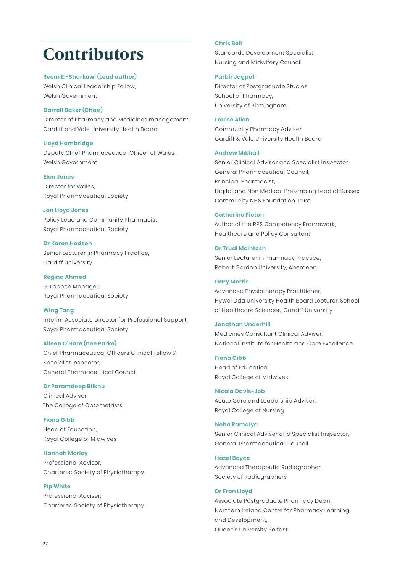### Contributors

**Reem El-Sharkawi (Lead author)** Welsh Clinical Leadership Fellow, Welsh Government

#### **Darrell Baker (Chair)**

Director of Pharmacy and Medicines management, Cardiff and Vale University Health Board

#### **Lloyd Hambridge**

Deputy Chief Pharmaceutical Officer of Wales, Welsh Government

**Elen Jones**  Director for Wales, Royal Pharmaceutical Society

**Jon Lloyd Jones** 

Policy Lead and Community Pharmacist, Royal Pharmaceutical Society

**Dr Karen Hodson**  Senior Lecturer in Pharmacy Practice, Cardiff University

**Regina Ahmed**  Guidance Manager, Royal Pharmaceutical Society

#### **Wing Tang**

Interim Associate Director for Professional Support, Royal Pharmaceutical Society

#### **Aileen O'Hare (nee Parke)**

Chief Pharmaceutical Officers Clinical Fellow & Specialist Inspector, General Pharmaceutical Council

#### **Dr Paramdeep Bilkhu**

Clinical Advisor, The College of Optometrists

**Fiona Gibb** Head of Education, Royal College of Midwives

**Hannah Morley** Professional Advisor, Chartered Society of Physiotherapy

**Pip White**  Professional Adviser, Chartered Society of Physiotherapy

#### **Chris Bell**

Standards Development Specialist Nursing and Midwifery Council

**Parbir Jagpal** 

Director of Postgraduate Studies School of Pharmacy, University of Birmingham.

**Louise Allen**  Community Pharmacy Adviser, Cardiff & Vale University Health Board

#### **Andrew Mikhail**

Senior Clinical Advisor and Specialist Inspector, General Pharmaceutical Council, Principal Pharmacist, Digital and Non Medical Prescribing Lead at Sussex Community NHS Foundation Trust

#### **Catherine Picton**

Author of the RPS Competency Framework, Healthcare and Policy Consultant

**Dr Trudi McIntosh**  Senior Lecturer in Pharmacy Practice, Robert Gordon University, Aberdeen

#### **Gary Morris**

Advanced Physiotherapy Practitioner, Hywel Dda University Health Board Lecturer, School of Healthcare Sciences, Cardiff University

#### **Jonathan Underhill**

Medicines Consultant Clinical Adviser, National Institute for Health and Care Excellence

**Fiona Gibb** Head of Education, Royal College of Midwives

**Nicola Davis-Job** Acute Care and Leadership Advisor, Royal College of Nursing

#### **Neha Ramaiya**

Senior Clinical Adviser and Specialist Inspector, General Pharmaceutical Council

**Hazel Boyce**

Advanced Therapeutic Radiographer, Society of Radiographers

#### **Dr Fran Lloyd**

Associate Postgraduate Pharmacy Dean, Northern Ireland Centre for Pharmacy Learning and Development, Queen's University Belfast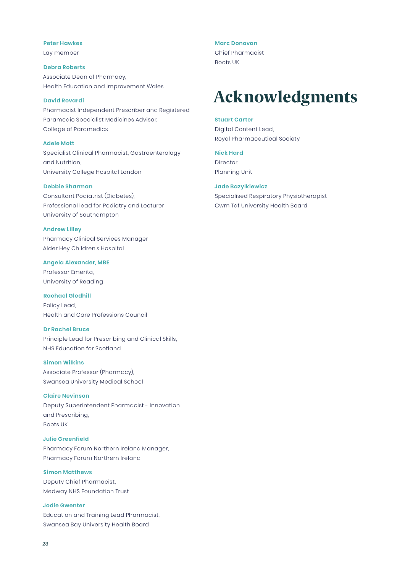#### **Peter Hawkes**

Lay member

**Debra Roberts** Associate Dean of Pharmacy, Health Education and Improvement Wales

#### **David Rovardi**

Pharmacist Independent Prescriber and Registered Paramedic Specialist Medicines Advisor, College of Paramedics

#### **Adele Mott**

Specialist Clinical Pharmacist, Gastroenterology and Nutrition, University College Hospital London

#### **Debbie Sharman**

Consultant Podiatrist (Diabetes), Professional lead for Podiatry and Lecturer University of Southampton

#### **Andrew Lilley**

Pharmacy Clinical Services Manager Alder Hey Children's Hospital

#### **Angela Alexander, MBE**

Professor Emerita, University of Reading

#### **Rachael Gledhill**

Policy Lead, Health and Care Professions Council

#### **Dr Rachel Bruce**

Principle Lead for Prescribing and Clinical Skills, NHS Education for Scotland

#### **Simon Wilkins**

Associate Professor (Pharmacy), Swansea University Medical School

#### **Claire Nevinson**

Deputy Superintendent Pharmacist - Innovation and Prescribing, Boots UK

#### **Julie Greenfield**

Pharmacy Forum Northern Ireland Manager, Pharmacy Forum Northern Ireland

#### **Simon Matthews**

Deputy Chief Pharmacist, Medway NHS Foundation Trust

#### **Jodie Gwenter**

Education and Training Lead Pharmacist, Swansea Bay University Health Board

#### **Marc Donovan**

Chief Pharmacist Boots UK

## Acknowledgments

#### **Stuart Carter**

Digital Content Lead, Royal Pharmaceutical Society

#### **Nick Hard**

Director, Planning Unit

#### **Jade Bazylkiewicz**

Specialised Respiratory Physiotherapist Cwm Taf University Health Board